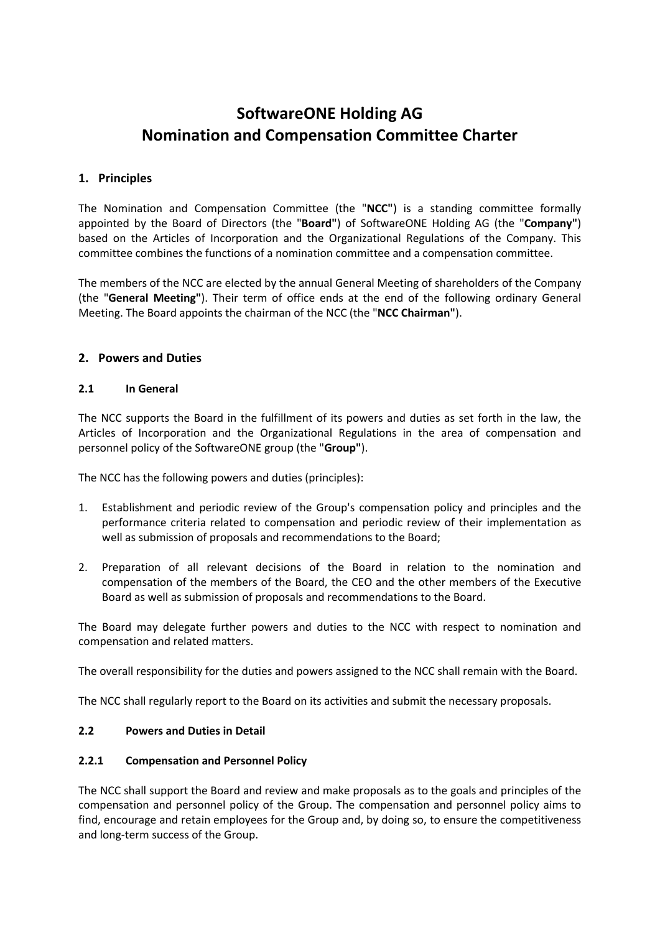# **SoftwareONE Holding AG Nomination and Compensation Committee Charter**

# **1. Principles**

The Nomination and Compensation Committee (the "**NCC"**) is a standing committee formally appointed by the Board of Directors (the "**Board"**) of SoftwareONE Holding AG (the "**Company"**) based on the Articles of Incorporation and the Organizational Regulations of the Company. This committee combines the functions of a nomination committee and a compensation committee.

The members of the NCC are elected by the annual General Meeting of shareholders of the Company (the "**General Meeting"**). Their term of office ends at the end of the following ordinary General Meeting. The Board appoints the chairman of the NCC (the "**NCC Chairman"**).

# **2. Powers and Duties**

#### **2.1 In General**

The NCC supports the Board in the fulfillment of its powers and duties as set forth in the law, the Articles of Incorporation and the Organizational Regulations in the area of compensation and personnel policy of the SoftwareONE group (the "**Group"**).

The NCC has the following powers and duties (principles):

- 1. Establishment and periodic review of the Group's compensation policy and principles and the performance criteria related to compensation and periodic review of their implementation as well as submission of proposals and recommendations to the Board;
- 2. Preparation of all relevant decisions of the Board in relation to the nomination and compensation of the members of the Board, the CEO and the other members of the Executive Board as well as submission of proposals and recommendations to the Board.

The Board may delegate further powers and duties to the NCC with respect to nomination and compensation and related matters.

The overall responsibility for the duties and powers assigned to the NCC shall remain with the Board.

The NCC shall regularly report to the Board on its activities and submit the necessary proposals.

#### **2.2 Powers and Duties in Detail**

#### **2.2.1 Compensation and Personnel Policy**

The NCC shall support the Board and review and make proposals as to the goals and principles of the compensation and personnel policy of the Group. The compensation and personnel policy aims to find, encourage and retain employees for the Group and, by doing so, to ensure the competitiveness and long-term success of the Group.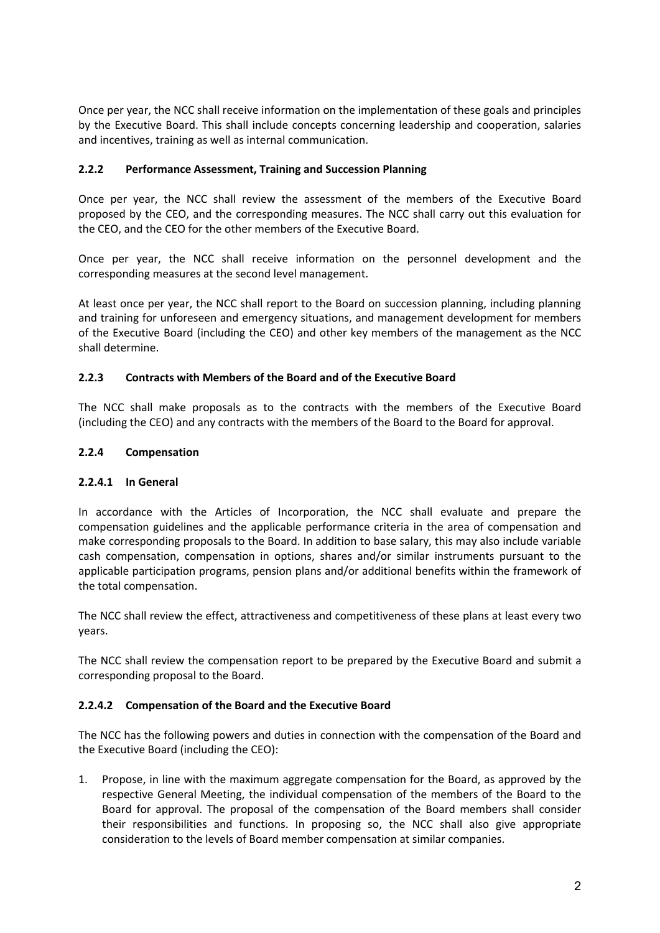Once per year, the NCC shall receive information on the implementation of these goals and principles by the Executive Board. This shall include concepts concerning leadership and cooperation, salaries and incentives, training as well as internal communication.

# **2.2.2 Performance Assessment, Training and Succession Planning**

Once per year, the NCC shall review the assessment of the members of the Executive Board proposed by the CEO, and the corresponding measures. The NCC shall carry out this evaluation for the CEO, and the CEO for the other members of the Executive Board.

Once per year, the NCC shall receive information on the personnel development and the corresponding measures at the second level management.

At least once per year, the NCC shall report to the Board on succession planning, including planning and training for unforeseen and emergency situations, and management development for members of the Executive Board (including the CEO) and other key members of the management as the NCC shall determine.

## **2.2.3 Contracts with Members of the Board and of the Executive Board**

The NCC shall make proposals as to the contracts with the members of the Executive Board (including the CEO) and any contracts with the members of the Board to the Board for approval.

## **2.2.4 Compensation**

## **2.2.4.1 In General**

In accordance with the Articles of Incorporation, the NCC shall evaluate and prepare the compensation guidelines and the applicable performance criteria in the area of compensation and make corresponding proposals to the Board. In addition to base salary, this may also include variable cash compensation, compensation in options, shares and/or similar instruments pursuant to the applicable participation programs, pension plans and/or additional benefits within the framework of the total compensation.

The NCC shall review the effect, attractiveness and competitiveness of these plans at least every two years.

The NCC shall review the compensation report to be prepared by the Executive Board and submit a corresponding proposal to the Board.

## **2.2.4.2 Compensation of the Board and the Executive Board**

The NCC has the following powers and duties in connection with the compensation of the Board and the Executive Board (including the CEO):

1. Propose, in line with the maximum aggregate compensation for the Board, as approved by the respective General Meeting, the individual compensation of the members of the Board to the Board for approval. The proposal of the compensation of the Board members shall consider their responsibilities and functions. In proposing so, the NCC shall also give appropriate consideration to the levels of Board member compensation at similar companies.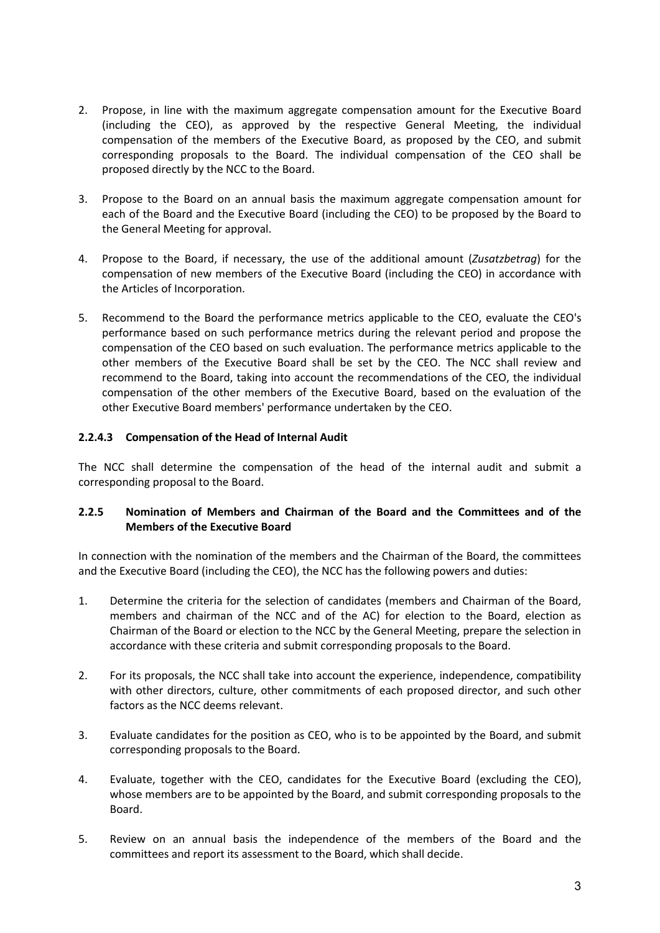- 2. Propose, in line with the maximum aggregate compensation amount for the Executive Board (including the CEO), as approved by the respective General Meeting, the individual compensation of the members of the Executive Board, as proposed by the CEO, and submit corresponding proposals to the Board. The individual compensation of the CEO shall be proposed directly by the NCC to the Board.
- 3. Propose to the Board on an annual basis the maximum aggregate compensation amount for each of the Board and the Executive Board (including the CEO) to be proposed by the Board to the General Meeting for approval.
- 4. Propose to the Board, if necessary, the use of the additional amount (*Zusatzbetrag*) for the compensation of new members of the Executive Board (including the CEO) in accordance with the Articles of Incorporation.
- 5. Recommend to the Board the performance metrics applicable to the CEO, evaluate the CEO's performance based on such performance metrics during the relevant period and propose the compensation of the CEO based on such evaluation. The performance metrics applicable to the other members of the Executive Board shall be set by the CEO. The NCC shall review and recommend to the Board, taking into account the recommendations of the CEO, the individual compensation of the other members of the Executive Board, based on the evaluation of the other Executive Board members' performance undertaken by the CEO.

## **2.2.4.3 Compensation of the Head of Internal Audit**

The NCC shall determine the compensation of the head of the internal audit and submit a corresponding proposal to the Board.

## **2.2.5 Nomination of Members and Chairman of the Board and the Committees and of the Members of the Executive Board**

In connection with the nomination of the members and the Chairman of the Board, the committees and the Executive Board (including the CEO), the NCC has the following powers and duties:

- 1. Determine the criteria for the selection of candidates (members and Chairman of the Board, members and chairman of the NCC and of the AC) for election to the Board, election as Chairman of the Board or election to the NCC by the General Meeting, prepare the selection in accordance with these criteria and submit corresponding proposals to the Board.
- 2. For its proposals, the NCC shall take into account the experience, independence, compatibility with other directors, culture, other commitments of each proposed director, and such other factors as the NCC deems relevant.
- 3. Evaluate candidates for the position as CEO, who is to be appointed by the Board, and submit corresponding proposals to the Board.
- 4. Evaluate, together with the CEO, candidates for the Executive Board (excluding the CEO), whose members are to be appointed by the Board, and submit corresponding proposals to the Board.
- 5. Review on an annual basis the independence of the members of the Board and the committees and report its assessment to the Board, which shall decide.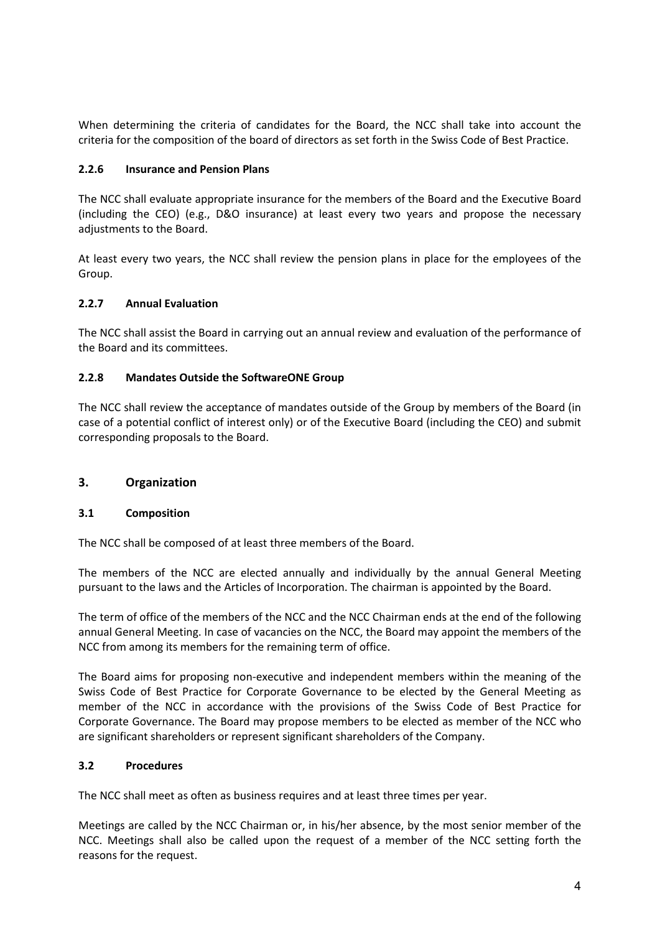When determining the criteria of candidates for the Board, the NCC shall take into account the criteria for the composition of the board of directors as set forth in the Swiss Code of Best Practice.

#### **2.2.6 Insurance and Pension Plans**

The NCC shall evaluate appropriate insurance for the members of the Board and the Executive Board (including the CEO) (e.g., D&O insurance) at least every two years and propose the necessary adiustments to the Board.

At least every two years, the NCC shall review the pension plans in place for the employees of the Group.

#### **2.2.7 Annual Evaluation**

The NCC shall assist the Board in carrying out an annual review and evaluation of the performance of the Board and its committees.

#### **2.2.8 Mandates Outside the SoftwareONE Group**

The NCC shall review the acceptance of mandates outside of the Group by members of the Board (in case of a potential conflict of interest only) or of the Executive Board (including the CEO) and submit corresponding proposals to the Board.

#### **3. Organization**

#### **3.1 Composition**

The NCC shall be composed of at least three members of the Board.

The members of the NCC are elected annually and individually by the annual General Meeting pursuant to the laws and the Articles of Incorporation. The chairman is appointed by the Board.

The term of office of the members of the NCC and the NCC Chairman ends at the end of the following annual General Meeting. In case of vacancies on the NCC, the Board may appoint the members of the NCC from among its members for the remaining term of office.

The Board aims for proposing non-executive and independent members within the meaning of the Swiss Code of Best Practice for Corporate Governance to be elected by the General Meeting as member of the NCC in accordance with the provisions of the Swiss Code of Best Practice for Corporate Governance. The Board may propose members to be elected as member of the NCC who are significant shareholders or represent significant shareholders of the Company.

#### **3.2 Procedures**

The NCC shall meet as often as business requires and at least three times per year.

Meetings are called by the NCC Chairman or, in his/her absence, by the most senior member of the NCC. Meetings shall also be called upon the request of a member of the NCC setting forth the reasons for the request.